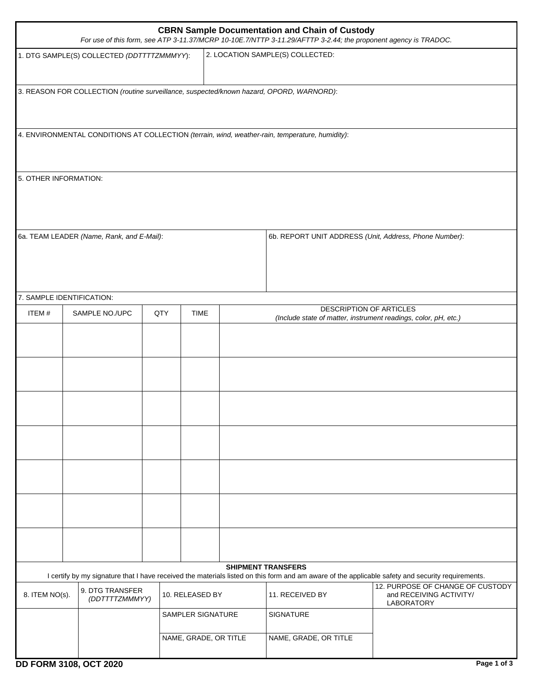| <b>CBRN Sample Documentation and Chain of Custody</b><br>For use of this form, see ATP 3-11.37/MCRP 10-10E.7/NTTP 3-11.29/AFTTP 3-2.44; the proponent agency is TRADOC. |                                                                                          |                 |                       |                                                                                                 |                                                                                                                                                   |  |  |  |
|-------------------------------------------------------------------------------------------------------------------------------------------------------------------------|------------------------------------------------------------------------------------------|-----------------|-----------------------|-------------------------------------------------------------------------------------------------|---------------------------------------------------------------------------------------------------------------------------------------------------|--|--|--|
| 1. DTG SAMPLE(S) COLLECTED (DDTTTTZMMMYY):                                                                                                                              |                                                                                          |                 |                       | 2. LOCATION SAMPLE(S) COLLECTED:                                                                |                                                                                                                                                   |  |  |  |
|                                                                                                                                                                         | 3. REASON FOR COLLECTION (routine surveillance, suspected/known hazard, OPORD, WARNORD): |                 |                       |                                                                                                 |                                                                                                                                                   |  |  |  |
|                                                                                                                                                                         |                                                                                          |                 |                       | 4. ENVIRONMENTAL CONDITIONS AT COLLECTION (terrain, wind, weather-rain, temperature, humidity): |                                                                                                                                                   |  |  |  |
| 5. OTHER INFORMATION:                                                                                                                                                   |                                                                                          |                 |                       |                                                                                                 |                                                                                                                                                   |  |  |  |
|                                                                                                                                                                         | 6a. TEAM LEADER (Name, Rank, and E-Mail):                                                |                 |                       | 6b. REPORT UNIT ADDRESS (Unit, Address, Phone Number):                                          |                                                                                                                                                   |  |  |  |
|                                                                                                                                                                         | 7. SAMPLE IDENTIFICATION:                                                                |                 |                       |                                                                                                 |                                                                                                                                                   |  |  |  |
| ITEM#<br>SAMPLE NO./UPC<br>QTY<br><b>TIME</b>                                                                                                                           |                                                                                          |                 |                       | DESCRIPTION OF ARTICLES<br>(Include state of matter, instrument readings, color, pH, etc.)      |                                                                                                                                                   |  |  |  |
|                                                                                                                                                                         |                                                                                          |                 |                       |                                                                                                 |                                                                                                                                                   |  |  |  |
|                                                                                                                                                                         |                                                                                          |                 |                       |                                                                                                 |                                                                                                                                                   |  |  |  |
|                                                                                                                                                                         |                                                                                          |                 |                       |                                                                                                 |                                                                                                                                                   |  |  |  |
|                                                                                                                                                                         |                                                                                          |                 |                       |                                                                                                 |                                                                                                                                                   |  |  |  |
|                                                                                                                                                                         |                                                                                          |                 |                       |                                                                                                 |                                                                                                                                                   |  |  |  |
|                                                                                                                                                                         |                                                                                          |                 |                       |                                                                                                 |                                                                                                                                                   |  |  |  |
|                                                                                                                                                                         |                                                                                          |                 |                       |                                                                                                 |                                                                                                                                                   |  |  |  |
|                                                                                                                                                                         |                                                                                          |                 |                       | <b>SHIPMENT TRANSFERS</b>                                                                       | I certify by my signature that I have received the materials listed on this form and am aware of the applicable safety and security requirements. |  |  |  |
| 8. ITEM NO(s).                                                                                                                                                          | 9. DTG TRANSFER<br>(DDTTTTZMMMYY)                                                        | 10. RELEASED BY |                       | 11. RECEIVED BY                                                                                 | 12. PURPOSE OF CHANGE OF CUSTODY<br>and RECEIVING ACTIVITY/<br>LABORATORY                                                                         |  |  |  |
|                                                                                                                                                                         |                                                                                          |                 | SAMPLER SIGNATURE     | SIGNATURE                                                                                       |                                                                                                                                                   |  |  |  |
|                                                                                                                                                                         |                                                                                          |                 | NAME, GRADE, OR TITLE | NAME, GRADE, OR TITLE                                                                           |                                                                                                                                                   |  |  |  |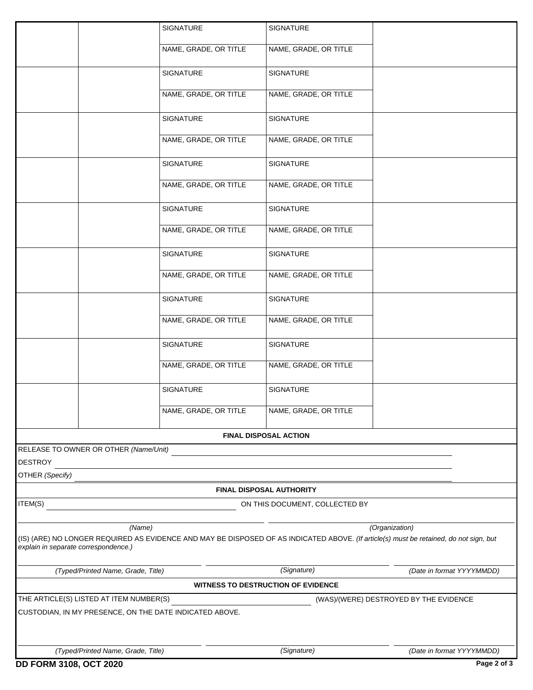|                                      | <b>SIGNATURE</b>                                                  |                       | SIGNATURE                                 |                                                                                                                                        |  |  |  |  |
|--------------------------------------|-------------------------------------------------------------------|-----------------------|-------------------------------------------|----------------------------------------------------------------------------------------------------------------------------------------|--|--|--|--|
|                                      |                                                                   | NAME, GRADE, OR TITLE | NAME, GRADE, OR TITLE                     |                                                                                                                                        |  |  |  |  |
|                                      | <b>SIGNATURE</b>                                                  |                       | <b>SIGNATURE</b>                          |                                                                                                                                        |  |  |  |  |
|                                      |                                                                   | NAME, GRADE, OR TITLE | NAME, GRADE, OR TITLE                     |                                                                                                                                        |  |  |  |  |
|                                      | <b>SIGNATURE</b>                                                  |                       | <b>SIGNATURE</b>                          |                                                                                                                                        |  |  |  |  |
|                                      |                                                                   | NAME, GRADE, OR TITLE | NAME, GRADE, OR TITLE                     |                                                                                                                                        |  |  |  |  |
|                                      | <b>SIGNATURE</b>                                                  |                       | SIGNATURE                                 |                                                                                                                                        |  |  |  |  |
|                                      |                                                                   | NAME, GRADE, OR TITLE | NAME, GRADE, OR TITLE                     |                                                                                                                                        |  |  |  |  |
|                                      | <b>SIGNATURE</b>                                                  |                       | <b>SIGNATURE</b>                          |                                                                                                                                        |  |  |  |  |
|                                      |                                                                   | NAME, GRADE, OR TITLE | NAME, GRADE, OR TITLE                     |                                                                                                                                        |  |  |  |  |
|                                      | <b>SIGNATURE</b>                                                  |                       | <b>SIGNATURE</b>                          |                                                                                                                                        |  |  |  |  |
|                                      |                                                                   | NAME, GRADE, OR TITLE | NAME, GRADE, OR TITLE                     |                                                                                                                                        |  |  |  |  |
|                                      | <b>SIGNATURE</b>                                                  |                       | SIGNATURE                                 |                                                                                                                                        |  |  |  |  |
|                                      |                                                                   | NAME, GRADE, OR TITLE | NAME, GRADE, OR TITLE                     |                                                                                                                                        |  |  |  |  |
|                                      | <b>SIGNATURE</b>                                                  |                       | SIGNATURE                                 |                                                                                                                                        |  |  |  |  |
|                                      |                                                                   | NAME, GRADE, OR TITLE | NAME, GRADE, OR TITLE                     |                                                                                                                                        |  |  |  |  |
|                                      | <b>SIGNATURE</b>                                                  |                       | <b>SIGNATURE</b>                          |                                                                                                                                        |  |  |  |  |
|                                      |                                                                   | NAME, GRADE, OR TITLE | NAME, GRADE, OR TITLE                     |                                                                                                                                        |  |  |  |  |
|                                      |                                                                   |                       | <b>FINAL DISPOSAL ACTION</b>              |                                                                                                                                        |  |  |  |  |
|                                      | RELEASE TO OWNER OR OTHER (Name/Unit)                             |                       |                                           |                                                                                                                                        |  |  |  |  |
| <b>DESTROY</b><br>OTHER (Specify)    |                                                                   |                       |                                           |                                                                                                                                        |  |  |  |  |
|                                      |                                                                   |                       |                                           |                                                                                                                                        |  |  |  |  |
| ITEM(S)                              | <b>FINAL DISPOSAL AUTHORITY</b><br>ON THIS DOCUMENT, COLLECTED BY |                       |                                           |                                                                                                                                        |  |  |  |  |
|                                      | (Name)                                                            |                       |                                           | (Organization)                                                                                                                         |  |  |  |  |
| explain in separate correspondence.) |                                                                   |                       |                                           | (IS) (ARE) NO LONGER REQUIRED AS EVIDENCE AND MAY BE DISPOSED OF AS INDICATED ABOVE. (If article(s) must be retained, do not sign, but |  |  |  |  |
|                                      | (Typed/Printed Name, Grade, Title)                                |                       | (Signature)                               | (Date in format YYYYMMDD)                                                                                                              |  |  |  |  |
|                                      |                                                                   |                       | <b>WITNESS TO DESTRUCTION OF EVIDENCE</b> |                                                                                                                                        |  |  |  |  |
|                                      | THE ARTICLE(S) LISTED AT ITEM NUMBER(S)                           |                       |                                           | (WAS)/(WERE) DESTROYED BY THE EVIDENCE                                                                                                 |  |  |  |  |
|                                      | CUSTODIAN, IN MY PRESENCE, ON THE DATE INDICATED ABOVE.           |                       |                                           |                                                                                                                                        |  |  |  |  |
|                                      | (Typed/Printed Name, Grade, Title)                                |                       | (Signature)                               | (Date in format YYYYMMDD)                                                                                                              |  |  |  |  |
| DD FORM 3108, OCT 2020               |                                                                   |                       |                                           | Page 2 of 3                                                                                                                            |  |  |  |  |